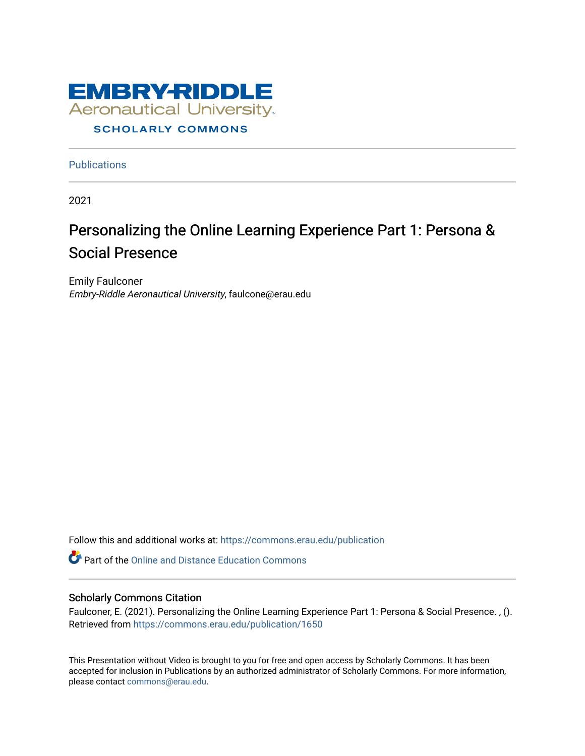

**Publications** 

2021

#### Personalizing the Online Learning Experience Part 1: Persona & Social Presence

Emily Faulconer Embry-Riddle Aeronautical University, faulcone@erau.edu

Follow this and additional works at: [https://commons.erau.edu/publication](https://commons.erau.edu/publication?utm_source=commons.erau.edu%2Fpublication%2F1650&utm_medium=PDF&utm_campaign=PDFCoverPages) 

**Part of the [Online and Distance Education Commons](http://network.bepress.com/hgg/discipline/1296?utm_source=commons.erau.edu%2Fpublication%2F1650&utm_medium=PDF&utm_campaign=PDFCoverPages)** 

#### Scholarly Commons Citation

Faulconer, E. (2021). Personalizing the Online Learning Experience Part 1: Persona & Social Presence. , (). Retrieved from [https://commons.erau.edu/publication/1650](https://commons.erau.edu/publication/1650?utm_source=commons.erau.edu%2Fpublication%2F1650&utm_medium=PDF&utm_campaign=PDFCoverPages) 

This Presentation without Video is brought to you for free and open access by Scholarly Commons. It has been accepted for inclusion in Publications by an authorized administrator of Scholarly Commons. For more information, please contact [commons@erau.edu](mailto:commons@erau.edu).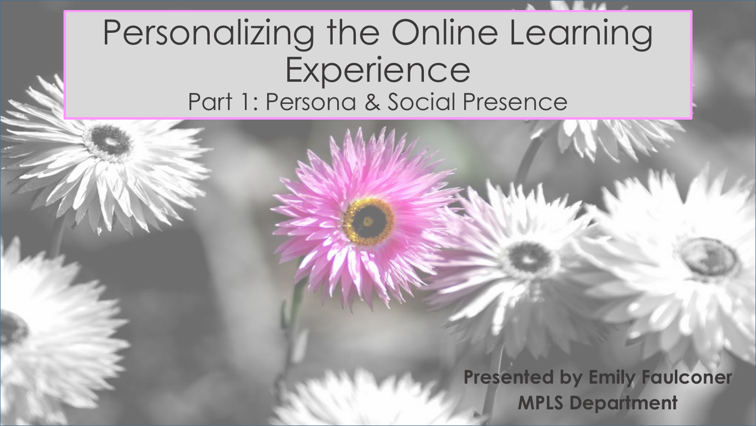#### Personalizing the Online Learning **Experience** Part 1: Persona & Social Presence

**Presented by Emily Faulconer MPLS Department**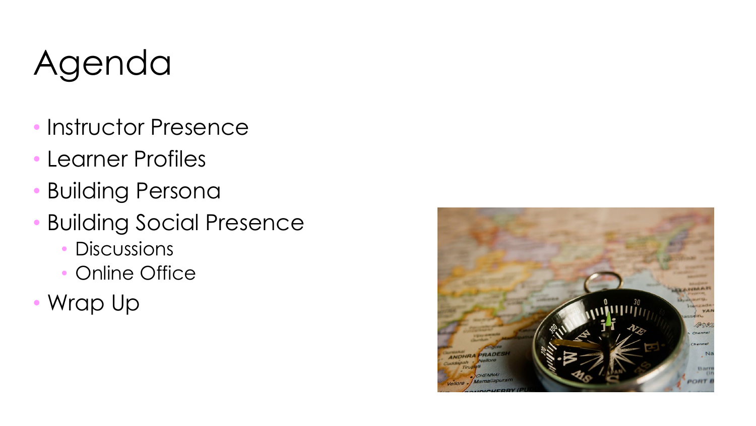# Agenda

- Instructor Presence
- Learner Profiles
- Building Persona
- Building Social Presence
	- **Discussions**
	- Online Office
- Wrap Up

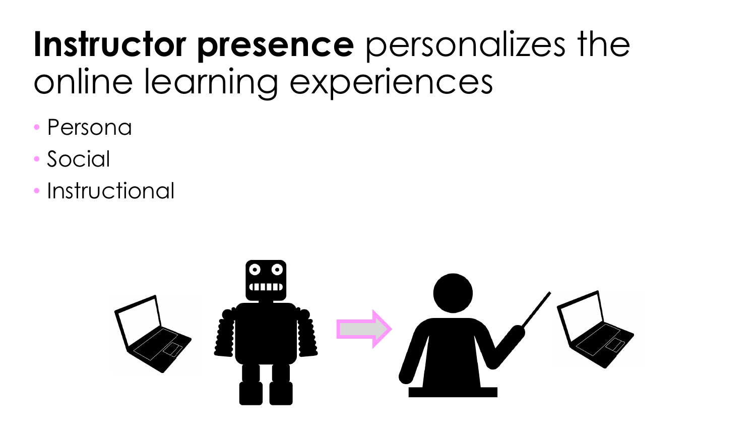## **Instructor presence** personalizes the online learning experiences

- **Persona**
- **Social**
- **Instructional**

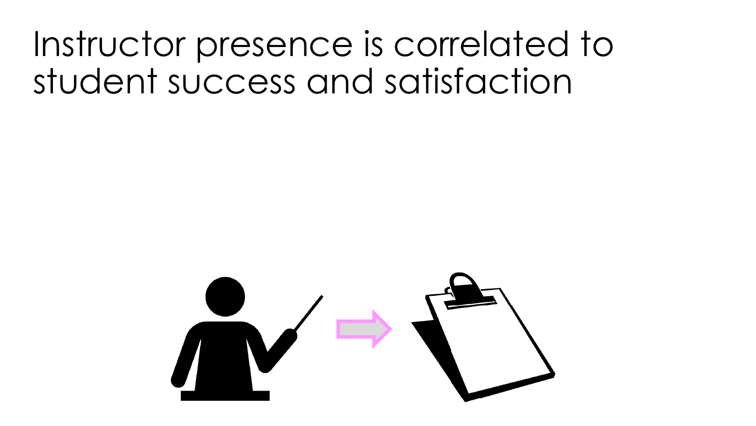### Instructor presence is correlated to student success and satisfaction

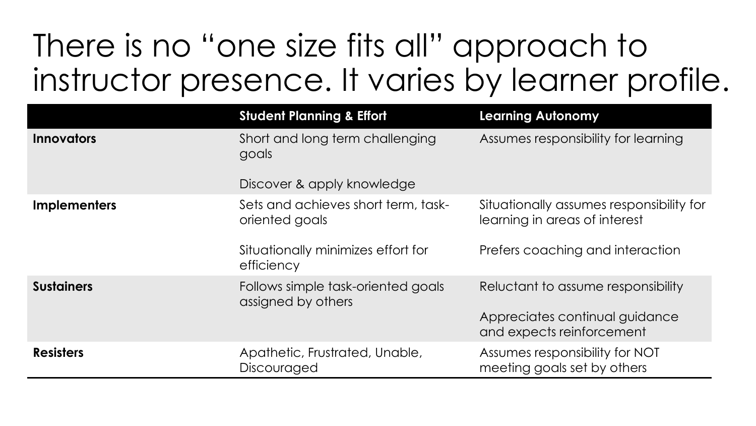#### There is no "one size fits all" approach to instructor presence. It varies by learner profile.

|                     | <b>Student Planning &amp; Effort</b>                     | <b>Learning Autonomy</b>                                                  |
|---------------------|----------------------------------------------------------|---------------------------------------------------------------------------|
| <b>Innovators</b>   | Short and long term challenging<br>goals                 | Assumes responsibility for learning                                       |
|                     | Discover & apply knowledge                               |                                                                           |
| <b>Implementers</b> | Sets and achieves short term, task-<br>oriented goals    | Situationally assumes responsibility for<br>learning in areas of interest |
|                     | Situationally minimizes effort for<br>efficiency         | Prefers coaching and interaction                                          |
| <b>Sustainers</b>   | Follows simple task-oriented goals<br>assigned by others | Reluctant to assume responsibility                                        |
|                     |                                                          | Appreciates continual guidance<br>and expects reinforcement               |
| <b>Resisters</b>    | Apathetic, Frustrated, Unable,<br>Discouraged            | Assumes responsibility for NOT<br>meeting goals set by others             |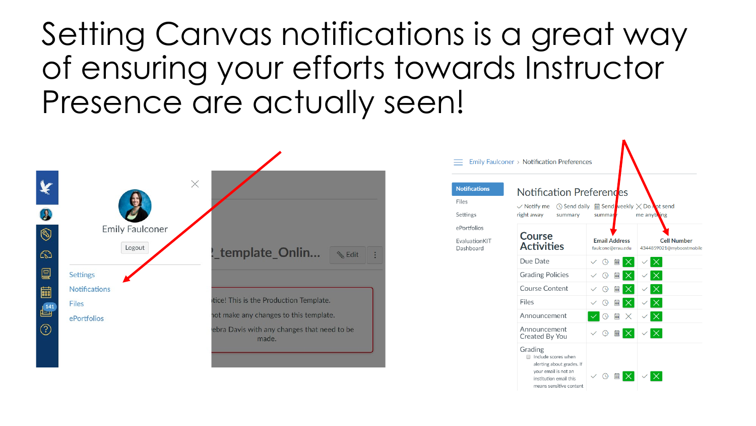#### Setting Canvas notifications is a great way of ensuring your efforts towards Instructor Presence are actually seen!

 $\equiv$ 



| <b>Notifications</b>       | Notification Preferendes                                                                                                                 |                                           |                                                |
|----------------------------|------------------------------------------------------------------------------------------------------------------------------------------|-------------------------------------------|------------------------------------------------|
| Files                      | ◯ Send daily<br>$\vee$ Notify me                                                                                                         | $\Box$ Send veekly $\times$ Do Not send   |                                                |
| Settings                   | right away<br>me anything<br>summary<br>summar                                                                                           |                                           |                                                |
| ePortfolios                |                                                                                                                                          |                                           |                                                |
| EvaluationKIT<br>Dashboard | <b>Course</b><br><b>Activities</b>                                                                                                       | <b>Email Address</b><br>faulcone@erau.edu | <b>Cell Number</b><br>4344859021@myboostmobile |
|                            | Due Date                                                                                                                                 | 藟<br>$\circ$<br>$\times$<br>$\checkmark$  |                                                |
|                            | <b>Grading Policies</b>                                                                                                                  | 篇<br>$\odot$<br>$\times$                  |                                                |
|                            | Course Content                                                                                                                           | $\times$<br>$\odot$<br>霝                  |                                                |
|                            | Files                                                                                                                                    | $\times$<br>篇<br>$\odot$                  |                                                |
|                            | Announcement                                                                                                                             | <b>Fas</b><br>$\times$<br>$\odot$         | $\times$                                       |
|                            | Announcement<br>Created By You                                                                                                           | $\times$<br>$\odot$<br>篇                  | $\times$                                       |
|                            | Grading<br>Include scores when<br>alerting about grades. If<br>your email is not an<br>institution email this<br>means sensitive content | $\times$<br>$\circ$<br><b>FREE</b>        |                                                |

A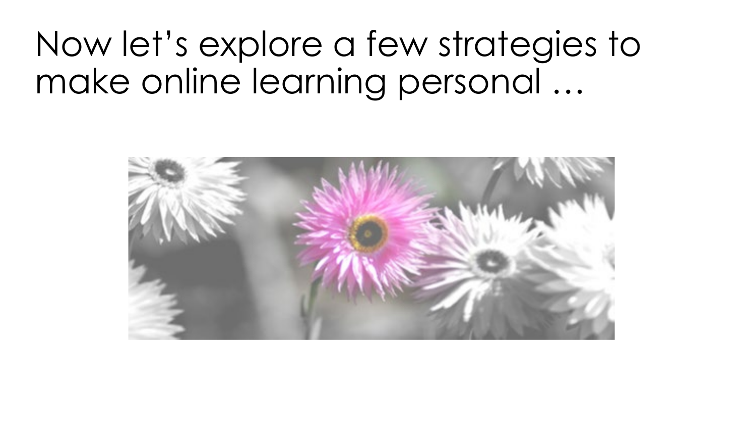### Now let's explore a few strategies to make online learning personal …

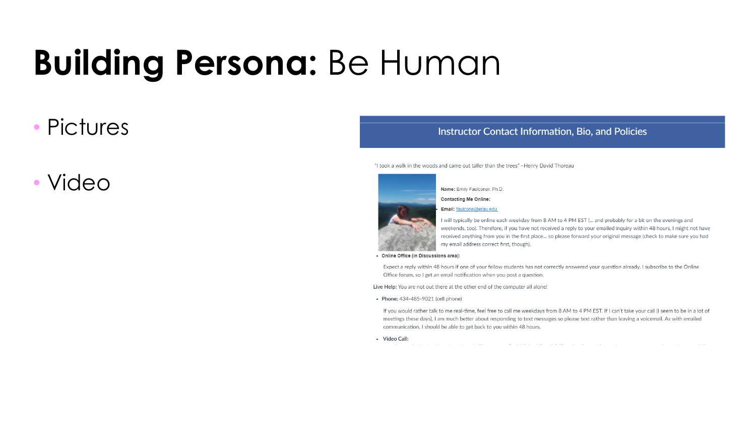# **Building Persona:** Be Human

#### **Pictures**

#### • Video

#### Instructor Contact Information, Bio, and Policies

"I took a walk in the woods and came out taller than the trees" ~Henry David Thoreau



Name: Emily Faulconer, Ph.D.

**Contacting Me Online:** 

Email: faulcone@erau.edu

I will typically be online each weekday from 8 AM to 4 PM EST (... and probably for a bit on the evenings and weekends, too). Therefore, if you have not received a reply to your emailed inquiry within 48 hours. I might not have received anything from you in the first place... so please forward your original message (check to make sure you had my email address correct first, though).

• Online Office (in Discussions area):

Expect a reply within 48 hours if one of your fellow students has not correctly answered your question already. I subscribe to the Online Office forum, so I get an email notification when you post a question.

Live Help: You are not out there at the other end of the computer all alone!

• Phone: 434-485-9021 (cell phone)

If you would rather talk to me real-time, feel free to call me weekdays from 8 AM to 4 PM EST. If I can't take your call (I seem to be in a lot of meetings these days), I am much better about responding to text messages so please text rather than leaving a voicemail. As with emailed communication, I should be able to get back to you within 48 hours.

• Video Call: المتراد والمستنق المتحول سوافقته كالتراث المجاور والمنافر ووالوسا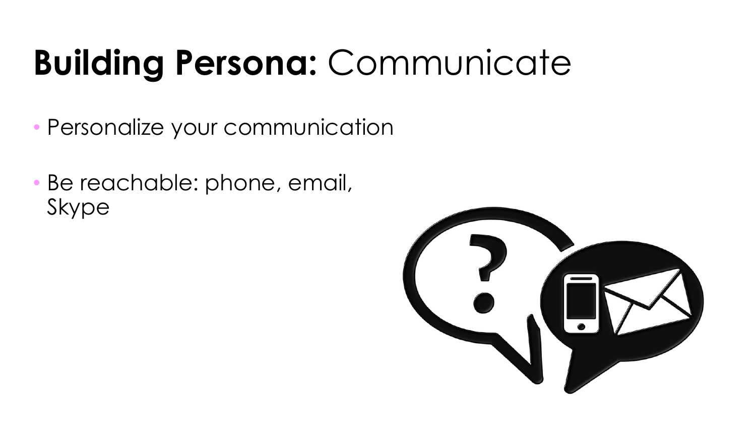# **Building Persona:** Communicate

- Personalize your communication
- Be reachable: phone, email, Skype

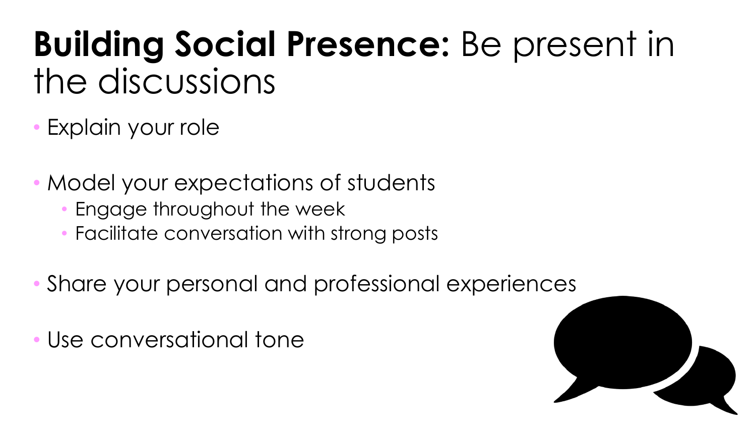# **Building Social Presence:** Be present in the discussions

- Explain your role
- Model your expectations of students
	- Engage throughout the week
	- Facilitate conversation with strong posts
- Share your personal and professional experiences
- Use conversational tone

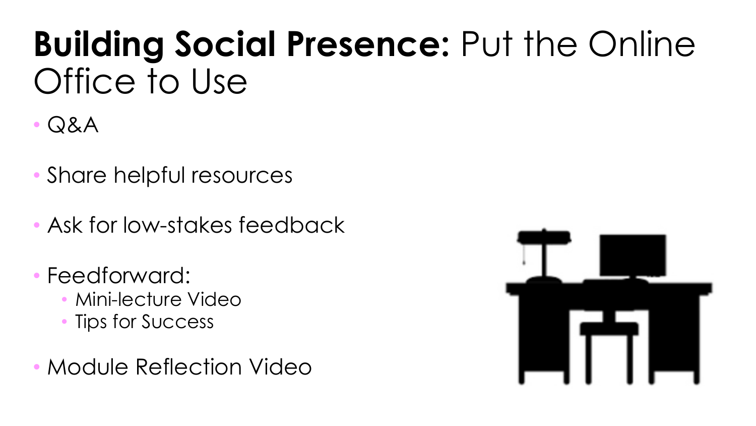## **Building Social Presence:** Put the Online Office to Use

- Q&A
- Share helpful resources
- Ask for low-stakes feedback
- Feedforward:
	- Mini-lecture Video
	- Tips for Success
- Module Reflection Video